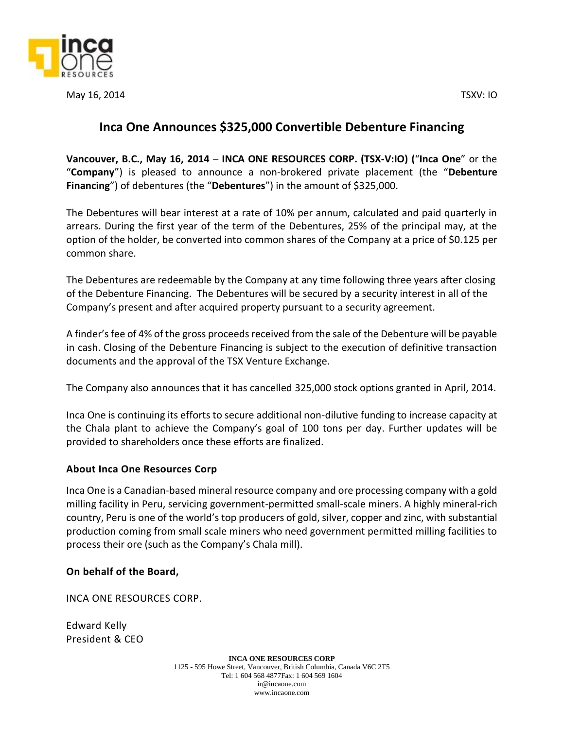

May 16, 2014 TSXV: IO

## **Inca One Announces \$325,000 Convertible Debenture Financing**

**Vancouver, B.C., May 16, 2014** – **INCA ONE RESOURCES CORP. (TSX‐V:IO) (**"**Inca One**" or the "**Company**") is pleased to announce a non-brokered private placement (the "**Debenture Financing**") of debentures (the "**Debentures**") in the amount of \$325,000.

The Debentures will bear interest at a rate of 10% per annum, calculated and paid quarterly in arrears. During the first year of the term of the Debentures, 25% of the principal may, at the option of the holder, be converted into common shares of the Company at a price of \$0.125 per common share.

The Debentures are redeemable by the Company at any time following three years after closing of the Debenture Financing. The Debentures will be secured by a security interest in all of the Company's present and after acquired property pursuant to a security agreement.

A finder's fee of 4% of the gross proceeds received from the sale of the Debenture will be payable in cash. Closing of the Debenture Financing is subject to the execution of definitive transaction documents and the approval of the TSX Venture Exchange.

The Company also announces that it has cancelled 325,000 stock options granted in April, 2014.

Inca One is continuing its efforts to secure additional non-dilutive funding to increase capacity at the Chala plant to achieve the Company's goal of 100 tons per day. Further updates will be provided to shareholders once these efforts are finalized.

## **About Inca One Resources Corp**

Inca One is a Canadian-based mineral resource company and ore processing company with a gold milling facility in Peru, servicing government-permitted small-scale miners. A highly mineral-rich country, Peru is one of the world's top producers of gold, silver, copper and zinc, with substantial production coming from small scale miners who need government permitted milling facilities to process their ore (such as the Company's Chala mill).

## **On behalf of the Board,**

INCA ONE RESOURCES CORP.

Edward Kelly President & CEO

> **INCA ONE RESOURCES CORP** 1125 - 595 Howe Street, Vancouver, British Columbia, Canada V6C 2T5 Tel: 1 604 568 4877Fax: 1 604 569 1604 ir@incaone.com www.incaone.com